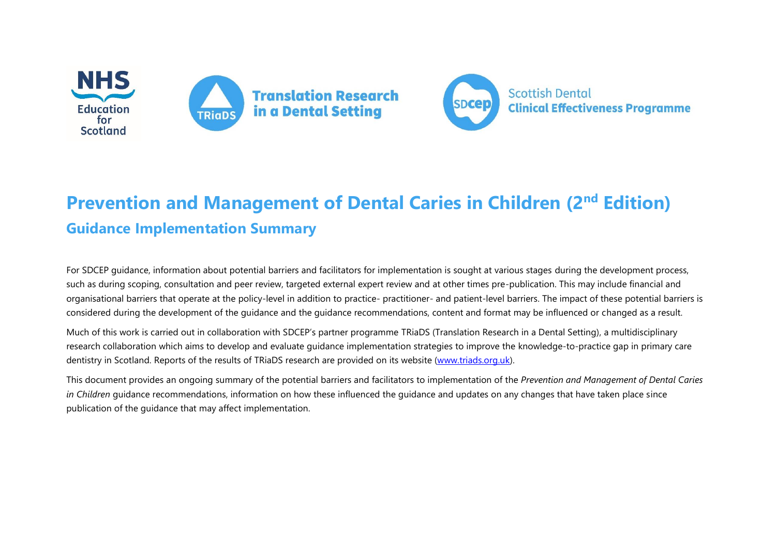



## **Prevention and Management of Dental Caries in Children (2<sup>nd</sup> Edition) Guidance Implementation Summary**

For SDCEP guidance, information about potential barriers and facilitators for implementation is sought at various stages during the development process, such as during scoping, consultation and peer review, targeted external expert review and at other times pre-publication. This may include financial and organisational barriers that operate at the policy-level in addition to practice- practitioner- and patient-level barriers. The impact of these potential barriers is considered during the development of the guidance and the guidance recommendations, content and format may be influenced or changed as a result.

Much of this work is carried out in collaboration with SDCEP's partner programme TRiaDS (Translation Research in a Dental Setting), a multidisciplinary research collaboration which aims to develop and evaluate guidance implementation strategies to improve the knowledge-to-practice gap in primary care dentistry in Scotland. Reports of the results of TRiaDS research are provided on its website [\(www.triads.org.uk\)](http://www.triads.org.uk/).

This document provides an ongoing summary of the potential barriers and facilitators to implementation of the *Prevention and Management of Dental Caries in Children* guidance recommendations, information on how these influenced the guidance and updates on any changes that have taken place since publication of the guidance that may affect implementation.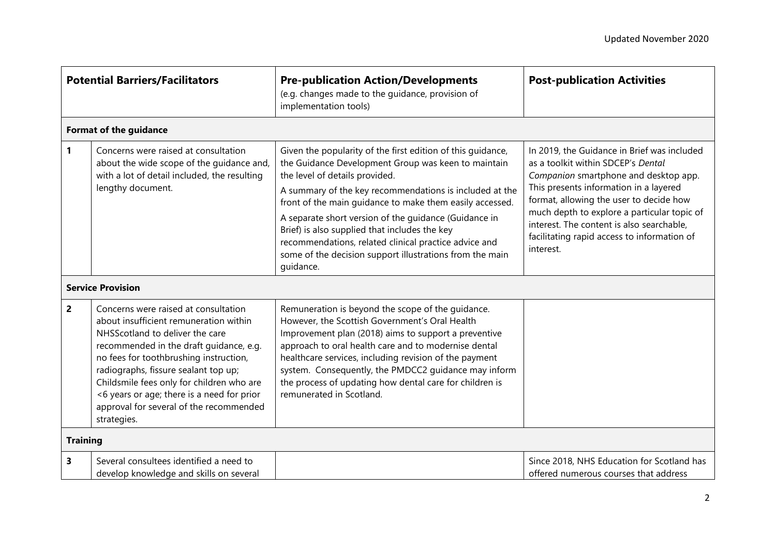| <b>Potential Barriers/Facilitators</b> |                                                                                                                                                                                                                                                                                                                                                                                                     | <b>Pre-publication Action/Developments</b><br>(e.g. changes made to the guidance, provision of<br>implementation tools)                                                                                                                                                                                                                                                                                                                                                                                                 | <b>Post-publication Activities</b>                                                                                                                                                                                                                                                                                                                                      |  |  |
|----------------------------------------|-----------------------------------------------------------------------------------------------------------------------------------------------------------------------------------------------------------------------------------------------------------------------------------------------------------------------------------------------------------------------------------------------------|-------------------------------------------------------------------------------------------------------------------------------------------------------------------------------------------------------------------------------------------------------------------------------------------------------------------------------------------------------------------------------------------------------------------------------------------------------------------------------------------------------------------------|-------------------------------------------------------------------------------------------------------------------------------------------------------------------------------------------------------------------------------------------------------------------------------------------------------------------------------------------------------------------------|--|--|
| <b>Format of the guidance</b>          |                                                                                                                                                                                                                                                                                                                                                                                                     |                                                                                                                                                                                                                                                                                                                                                                                                                                                                                                                         |                                                                                                                                                                                                                                                                                                                                                                         |  |  |
| 1                                      | Concerns were raised at consultation<br>about the wide scope of the guidance and,<br>with a lot of detail included, the resulting<br>lengthy document.                                                                                                                                                                                                                                              | Given the popularity of the first edition of this guidance,<br>the Guidance Development Group was keen to maintain<br>the level of details provided.<br>A summary of the key recommendations is included at the<br>front of the main guidance to make them easily accessed.<br>A separate short version of the guidance (Guidance in<br>Brief) is also supplied that includes the key<br>recommendations, related clinical practice advice and<br>some of the decision support illustrations from the main<br>guidance. | In 2019, the Guidance in Brief was included<br>as a toolkit within SDCEP's Dental<br>Companion smartphone and desktop app.<br>This presents information in a layered<br>format, allowing the user to decide how<br>much depth to explore a particular topic of<br>interest. The content is also searchable,<br>facilitating rapid access to information of<br>interest. |  |  |
| <b>Service Provision</b>               |                                                                                                                                                                                                                                                                                                                                                                                                     |                                                                                                                                                                                                                                                                                                                                                                                                                                                                                                                         |                                                                                                                                                                                                                                                                                                                                                                         |  |  |
| 2                                      | Concerns were raised at consultation<br>about insufficient remuneration within<br>NHSScotland to deliver the care<br>recommended in the draft guidance, e.g.<br>no fees for toothbrushing instruction,<br>radiographs, fissure sealant top up;<br>Childsmile fees only for children who are<br><6 years or age; there is a need for prior<br>approval for several of the recommended<br>strategies. | Remuneration is beyond the scope of the guidance.<br>However, the Scottish Government's Oral Health<br>Improvement plan (2018) aims to support a preventive<br>approach to oral health care and to modernise dental<br>healthcare services, including revision of the payment<br>system. Consequently, the PMDCC2 guidance may inform<br>the process of updating how dental care for children is<br>remunerated in Scotland.                                                                                            |                                                                                                                                                                                                                                                                                                                                                                         |  |  |
| <b>Training</b>                        |                                                                                                                                                                                                                                                                                                                                                                                                     |                                                                                                                                                                                                                                                                                                                                                                                                                                                                                                                         |                                                                                                                                                                                                                                                                                                                                                                         |  |  |
| 3                                      | Several consultees identified a need to<br>develop knowledge and skills on several                                                                                                                                                                                                                                                                                                                  |                                                                                                                                                                                                                                                                                                                                                                                                                                                                                                                         | Since 2018, NHS Education for Scotland has<br>offered numerous courses that address                                                                                                                                                                                                                                                                                     |  |  |